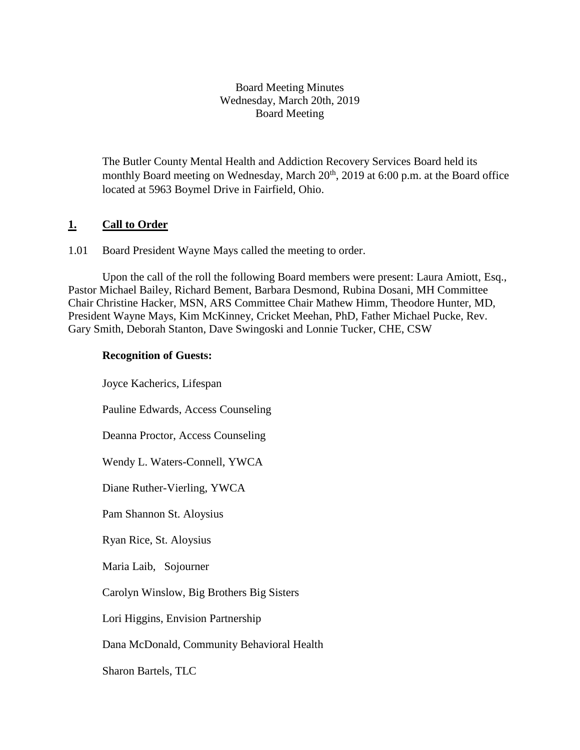### Board Meeting Minutes Wednesday, March 20th, 2019 Board Meeting

The Butler County Mental Health and Addiction Recovery Services Board held its monthly Board meeting on Wednesday, March 20<sup>th</sup>, 2019 at 6:00 p.m. at the Board office located at 5963 Boymel Drive in Fairfield, Ohio.

### **1. Call to Order**

1.01 Board President Wayne Mays called the meeting to order.

Upon the call of the roll the following Board members were present: Laura Amiott, Esq., Pastor Michael Bailey, Richard Bement, Barbara Desmond, Rubina Dosani, MH Committee Chair Christine Hacker, MSN, ARS Committee Chair Mathew Himm, Theodore Hunter, MD, President Wayne Mays, Kim McKinney, Cricket Meehan, PhD, Father Michael Pucke, Rev. Gary Smith, Deborah Stanton, Dave Swingoski and Lonnie Tucker, CHE, CSW

### **Recognition of Guests:**

Joyce Kacherics, Lifespan Pauline Edwards, Access Counseling Deanna Proctor, Access Counseling Wendy L. Waters-Connell, YWCA Diane Ruther-Vierling, YWCA Pam Shannon St. Aloysius Ryan Rice, St. Aloysius Maria Laib, Sojourner Carolyn Winslow, Big Brothers Big Sisters Lori Higgins, Envision Partnership Dana McDonald, Community Behavioral Health Sharon Bartels, TLC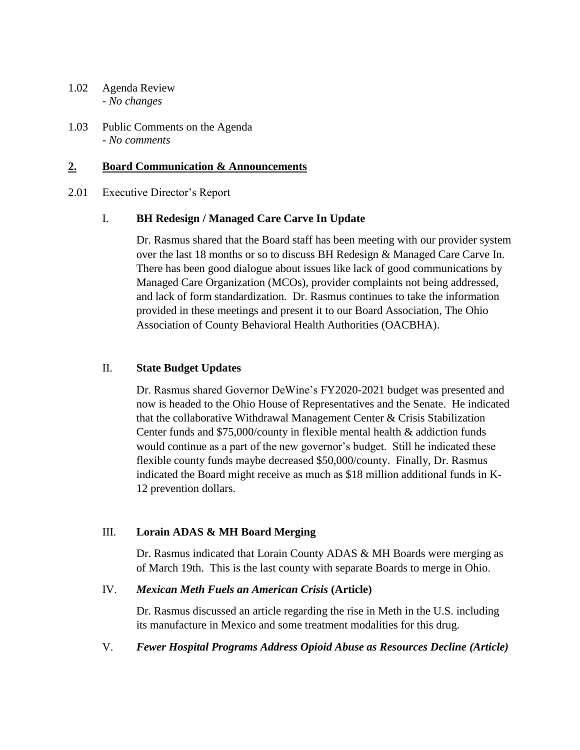- 1.02 Agenda Review *- No changes*
- 1.03 Public Comments on the Agenda - *No comments*

### **2. Board Communication & Announcements**

#### 2.01 Executive Director's Report

### I. **BH Redesign / Managed Care Carve In Update**

Dr. Rasmus shared that the Board staff has been meeting with our provider system over the last 18 months or so to discuss BH Redesign & Managed Care Carve In. There has been good dialogue about issues like lack of good communications by Managed Care Organization (MCOs), provider complaints not being addressed, and lack of form standardization. Dr. Rasmus continues to take the information provided in these meetings and present it to our Board Association, The Ohio Association of County Behavioral Health Authorities (OACBHA).

#### II. **State Budget Updates**

Dr. Rasmus shared Governor DeWine's FY2020-2021 budget was presented and now is headed to the Ohio House of Representatives and the Senate. He indicated that the collaborative Withdrawal Management Center & Crisis Stabilization Center funds and \$75,000/county in flexible mental health & addiction funds would continue as a part of the new governor's budget. Still he indicated these flexible county funds maybe decreased \$50,000/county. Finally, Dr. Rasmus indicated the Board might receive as much as \$18 million additional funds in K-12 prevention dollars.

### III. **Lorain ADAS & MH Board Merging**

Dr. Rasmus indicated that Lorain County ADAS & MH Boards were merging as of March 19th. This is the last county with separate Boards to merge in Ohio.

#### IV. *Mexican Meth Fuels an American Crisis* **(Article)**

Dr. Rasmus discussed an article regarding the rise in Meth in the U.S. including its manufacture in Mexico and some treatment modalities for this drug.

### V. *Fewer Hospital Programs Address Opioid Abuse as Resources Decline (Article)*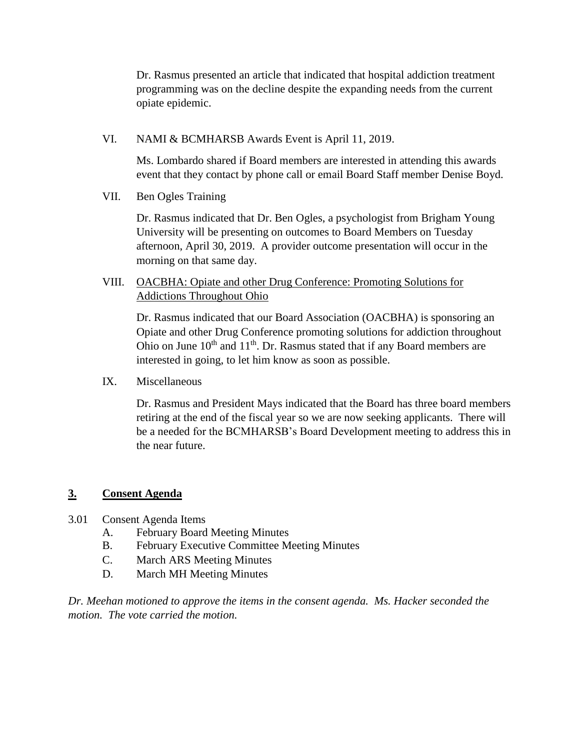Dr. Rasmus presented an article that indicated that hospital addiction treatment programming was on the decline despite the expanding needs from the current opiate epidemic.

VI. NAMI & BCMHARSB Awards Event is April 11, 2019.

Ms. Lombardo shared if Board members are interested in attending this awards event that they contact by phone call or email Board Staff member Denise Boyd.

VII. Ben Ogles Training

Dr. Rasmus indicated that Dr. Ben Ogles, a psychologist from Brigham Young University will be presenting on outcomes to Board Members on Tuesday afternoon, April 30, 2019. A provider outcome presentation will occur in the morning on that same day.

VIII. OACBHA: Opiate and other Drug Conference: Promoting Solutions for Addictions Throughout Ohio

Dr. Rasmus indicated that our Board Association (OACBHA) is sponsoring an Opiate and other Drug Conference promoting solutions for addiction throughout Ohio on June  $10^{th}$  and  $11^{th}$ . Dr. Rasmus stated that if any Board members are interested in going, to let him know as soon as possible.

IX. Miscellaneous

Dr. Rasmus and President Mays indicated that the Board has three board members retiring at the end of the fiscal year so we are now seeking applicants. There will be a needed for the BCMHARSB's Board Development meeting to address this in the near future.

### **3. Consent Agenda**

- 3.01 Consent Agenda Items
	- A. February Board Meeting Minutes
	- B. February Executive Committee Meeting Minutes
	- C. March ARS Meeting Minutes
	- D. March MH Meeting Minutes

*Dr. Meehan motioned to approve the items in the consent agenda. Ms. Hacker seconded the motion. The vote carried the motion.*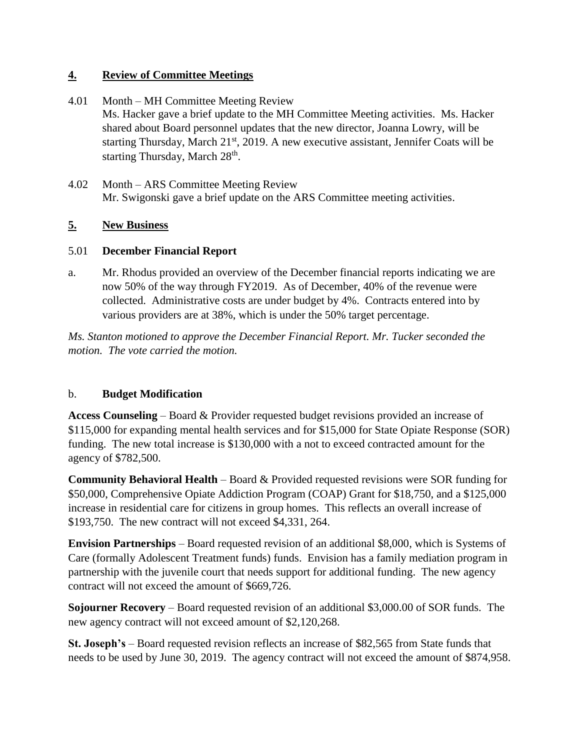## **4. Review of Committee Meetings**

- 4.01 Month MH Committee Meeting Review Ms. Hacker gave a brief update to the MH Committee Meeting activities. Ms. Hacker shared about Board personnel updates that the new director, Joanna Lowry, will be starting Thursday, March  $21^{st}$ , 2019. A new executive assistant, Jennifer Coats will be starting Thursday, March 28<sup>th</sup>.
- 4.02 Month ARS Committee Meeting Review Mr. Swigonski gave a brief update on the ARS Committee meeting activities.

# **5. New Business**

# 5.01 **December Financial Report**

a. Mr. Rhodus provided an overview of the December financial reports indicating we are now 50% of the way through FY2019. As of December, 40% of the revenue were collected. Administrative costs are under budget by 4%. Contracts entered into by various providers are at 38%, which is under the 50% target percentage.

*Ms. Stanton motioned to approve the December Financial Report. Mr. Tucker seconded the motion. The vote carried the motion.*

# b. **Budget Modification**

**Access Counseling** – Board & Provider requested budget revisions provided an increase of \$115,000 for expanding mental health services and for \$15,000 for State Opiate Response (SOR) funding. The new total increase is \$130,000 with a not to exceed contracted amount for the agency of \$782,500.

**Community Behavioral Health** – Board & Provided requested revisions were SOR funding for \$50,000, Comprehensive Opiate Addiction Program (COAP) Grant for \$18,750, and a \$125,000 increase in residential care for citizens in group homes. This reflects an overall increase of \$193,750. The new contract will not exceed \$4,331, 264.

**Envision Partnerships** – Board requested revision of an additional \$8,000, which is Systems of Care (formally Adolescent Treatment funds) funds. Envision has a family mediation program in partnership with the juvenile court that needs support for additional funding. The new agency contract will not exceed the amount of \$669,726.

**Sojourner Recovery** – Board requested revision of an additional \$3,000.00 of SOR funds. The new agency contract will not exceed amount of \$2,120,268.

**St. Joseph's** – Board requested revision reflects an increase of \$82,565 from State funds that needs to be used by June 30, 2019. The agency contract will not exceed the amount of \$874,958.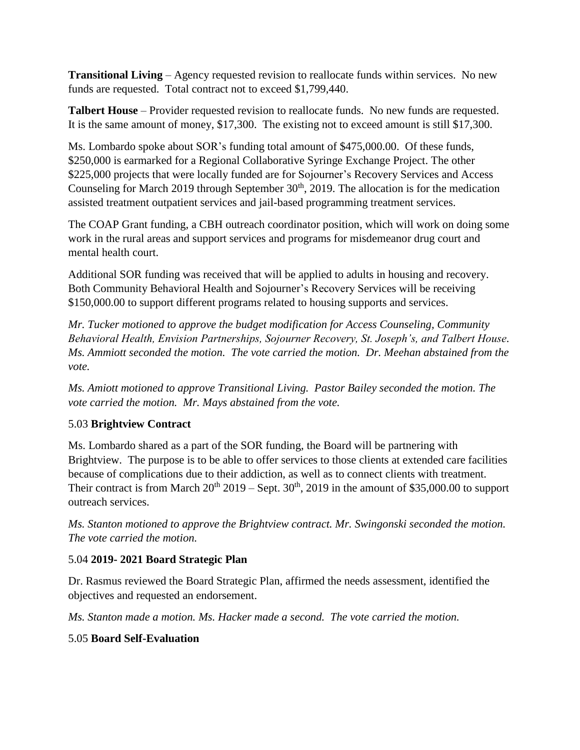**Transitional Living** – Agency requested revision to reallocate funds within services. No new funds are requested. Total contract not to exceed \$1,799,440.

**Talbert House** – Provider requested revision to reallocate funds. No new funds are requested. It is the same amount of money, \$17,300. The existing not to exceed amount is still \$17,300.

Ms. Lombardo spoke about SOR's funding total amount of \$475,000.00. Of these funds, \$250,000 is earmarked for a Regional Collaborative Syringe Exchange Project. The other \$225,000 projects that were locally funded are for Sojourner's Recovery Services and Access Counseling for March 2019 through September  $30<sup>th</sup>$ , 2019. The allocation is for the medication assisted treatment outpatient services and jail-based programming treatment services.

The COAP Grant funding, a CBH outreach coordinator position, which will work on doing some work in the rural areas and support services and programs for misdemeanor drug court and mental health court.

Additional SOR funding was received that will be applied to adults in housing and recovery. Both Community Behavioral Health and Sojourner's Recovery Services will be receiving \$150,000.00 to support different programs related to housing supports and services.

*Mr. Tucker motioned to approve the budget modification for Access Counseling, Community Behavioral Health, Envision Partnerships, Sojourner Recovery, St. Joseph's, and Talbert House. Ms. Ammiott seconded the motion. The vote carried the motion. Dr. Meehan abstained from the vote.*

*Ms. Amiott motioned to approve Transitional Living. Pastor Bailey seconded the motion. The vote carried the motion. Mr. Mays abstained from the vote.*

# 5.03 **Brightview Contract**

Ms. Lombardo shared as a part of the SOR funding, the Board will be partnering with Brightview. The purpose is to be able to offer services to those clients at extended care facilities because of complications due to their addiction, as well as to connect clients with treatment. Their contract is from March  $20^{th}$   $2019$  – Sept.  $30^{th}$ ,  $2019$  in the amount of \$35,000.00 to support outreach services.

*Ms. Stanton motioned to approve the Brightview contract. Mr. Swingonski seconded the motion. The vote carried the motion.*

# 5.04 **2019- 2021 Board Strategic Plan**

Dr. Rasmus reviewed the Board Strategic Plan, affirmed the needs assessment, identified the objectives and requested an endorsement.

*Ms. Stanton made a motion. Ms. Hacker made a second. The vote carried the motion.*

# 5.05 **Board Self-Evaluation**